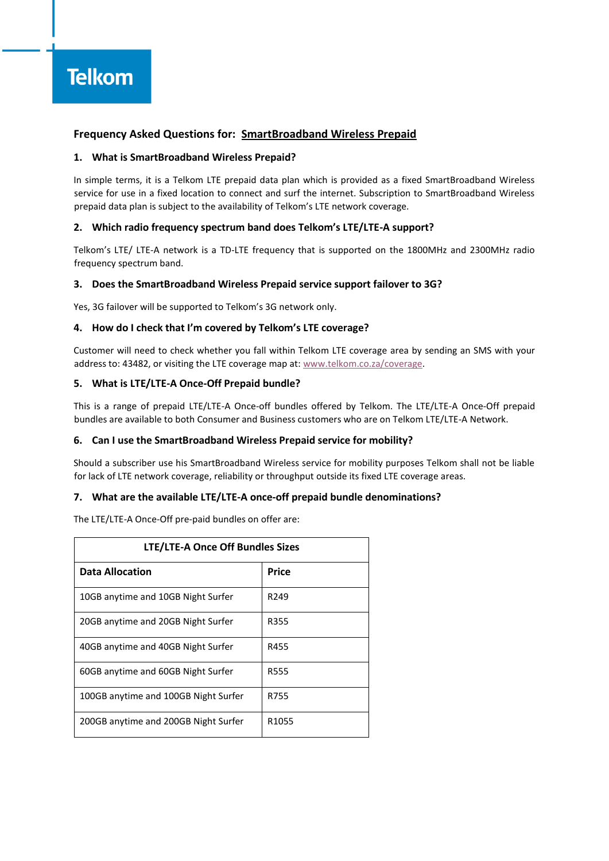# **Frequency Asked Questions for: SmartBroadband Wireless Prepaid**

## **1. What is SmartBroadband Wireless Prepaid?**

In simple terms, it is a Telkom LTE prepaid data plan which is provided as a fixed SmartBroadband Wireless service for use in a fixed location to connect and surf the internet. Subscription to SmartBroadband Wireless prepaid data plan is subject to the availability of Telkom's LTE network coverage.

# **2. Which radio frequency spectrum band does Telkom's LTE/LTE-A support?**

Telkom's LTE/ LTE-A network is a TD-LTE frequency that is supported on the 1800MHz and 2300MHz radio frequency spectrum band.

## **3. Does the SmartBroadband Wireless Prepaid service support failover to 3G?**

Yes, 3G failover will be supported to Telkom's 3G network only.

## **4. How do I check that I'm covered by Telkom's LTE coverage?**

Customer will need to check whether you fall within Telkom LTE coverage area by sending an SMS with your address to: 43482, or visiting the LTE coverage map at: [www.telkom.co.za/coverage.](http://www.telkom.co.za/coverage)

## **5. What is LTE/LTE-A Once-Off Prepaid bundle?**

This is a range of prepaid LTE/LTE-A Once-off bundles offered by Telkom. The LTE/LTE-A Once-Off prepaid bundles are available to both Consumer and Business customers who are on Telkom LTE/LTE-A Network.

# **6. Can I use the SmartBroadband Wireless Prepaid service for mobility?**

Should a subscriber use his SmartBroadband Wireless service for mobility purposes Telkom shall not be liable for lack of LTE network coverage, reliability or throughput outside its fixed LTE coverage areas.

## **7. What are the available LTE/LTE-A once-off prepaid bundle denominations?**

The LTE/LTE-A Once-Off pre-paid bundles on offer are:

| <b>LTE/LTE-A Once Off Bundles Sizes</b> |                   |
|-----------------------------------------|-------------------|
| <b>Data Allocation</b>                  | Price             |
| 10GB anytime and 10GB Night Surfer      | R <sub>249</sub>  |
| 20GB anytime and 20GB Night Surfer      | R355              |
| 40GB anytime and 40GB Night Surfer      | R455              |
| 60GB anytime and 60GB Night Surfer      | R555              |
| 100GB anytime and 100GB Night Surfer    | R755              |
| 200GB anytime and 200GB Night Surfer    | R <sub>1055</sub> |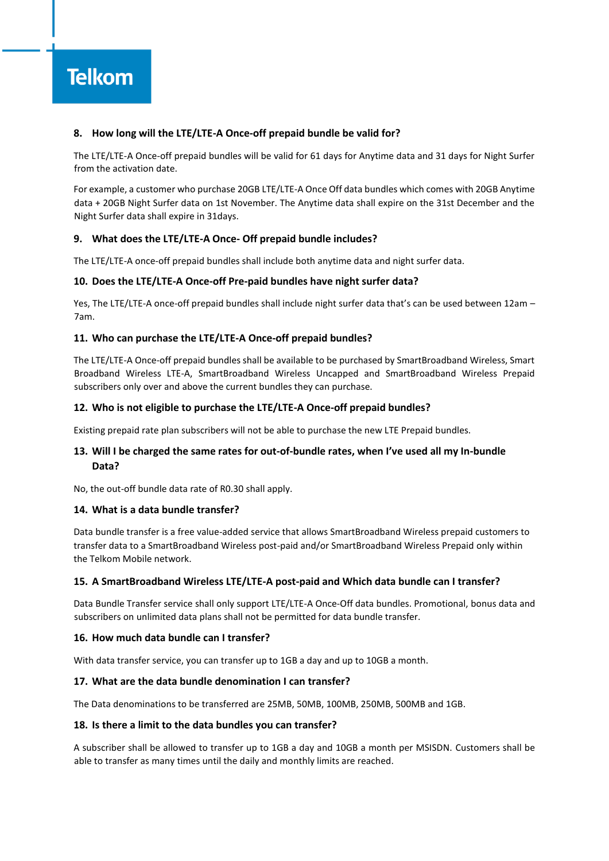# **8. How long will the LTE/LTE-A Once-off prepaid bundle be valid for?**

The LTE/LTE-A Once-off prepaid bundles will be valid for 61 days for Anytime data and 31 days for Night Surfer from the activation date.

For example, a customer who purchase 20GB LTE/LTE-A Once Off data bundles which comes with 20GB Anytime data + 20GB Night Surfer data on 1st November. The Anytime data shall expire on the 31st December and the Night Surfer data shall expire in 31days.

## **9. What does the LTE/LTE-A Once- Off prepaid bundle includes?**

The LTE/LTE-A once-off prepaid bundles shall include both anytime data and night surfer data.

#### **10. Does the LTE/LTE-A Once-off Pre-paid bundles have night surfer data?**

Yes, The LTE/LTE-A once-off prepaid bundles shall include night surfer data that's can be used between 12am – 7am.

## **11. Who can purchase the LTE/LTE-A Once-off prepaid bundles?**

The LTE/LTE-A Once-off prepaid bundles shall be available to be purchased by SmartBroadband Wireless, Smart Broadband Wireless LTE-A, SmartBroadband Wireless Uncapped and SmartBroadband Wireless Prepaid subscribers only over and above the current bundles they can purchase.

#### **12. Who is not eligible to purchase the LTE/LTE-A Once-off prepaid bundles?**

Existing prepaid rate plan subscribers will not be able to purchase the new LTE Prepaid bundles.

# **13. Will I be charged the same rates for out-of-bundle rates, when I've used all my In-bundle Data?**

No, the out-off bundle data rate of R0.30 shall apply.

#### **14. What is a data bundle transfer?**

Data bundle transfer is a free value-added service that allows SmartBroadband Wireless prepaid customers to transfer data to a SmartBroadband Wireless post-paid and/or SmartBroadband Wireless Prepaid only within the Telkom Mobile network.

#### **15. A SmartBroadband Wireless LTE/LTE-A post-paid and Which data bundle can I transfer?**

Data Bundle Transfer service shall only support LTE/LTE-A Once-Off data bundles. Promotional, bonus data and subscribers on unlimited data plans shall not be permitted for data bundle transfer.

#### **16. How much data bundle can I transfer?**

With data transfer service, you can transfer up to 1GB a day and up to 10GB a month.

#### **17. What are the data bundle denomination I can transfer?**

The Data denominations to be transferred are 25MB, 50MB, 100MB, 250MB, 500MB and 1GB.

#### **18. Is there a limit to the data bundles you can transfer?**

A subscriber shall be allowed to transfer up to 1GB a day and 10GB a month per MSISDN. Customers shall be able to transfer as many times until the daily and monthly limits are reached.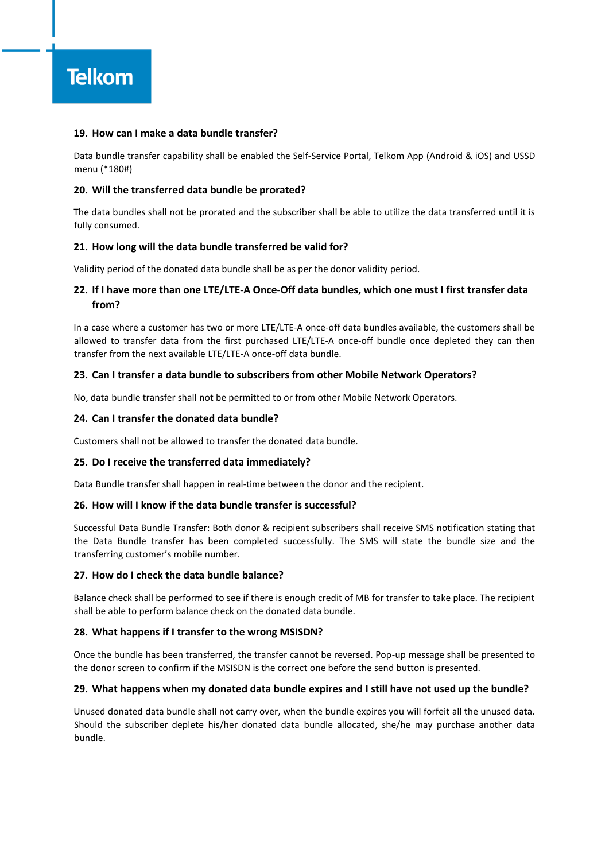

## **19. How can I make a data bundle transfer?**

Data bundle transfer capability shall be enabled the Self-Service Portal, Telkom App (Android & iOS) and USSD menu (\*180#)

#### **20. Will the transferred data bundle be prorated?**

The data bundles shall not be prorated and the subscriber shall be able to utilize the data transferred until it is fully consumed.

#### **21. How long will the data bundle transferred be valid for?**

Validity period of the donated data bundle shall be as per the donor validity period.

# **22. If I have more than one LTE/LTE-A Once-Off data bundles, which one must I first transfer data from?**

In a case where a customer has two or more LTE/LTE-A once-off data bundles available, the customers shall be allowed to transfer data from the first purchased LTE/LTE-A once-off bundle once depleted they can then transfer from the next available LTE/LTE-A once-off data bundle.

#### **23. Can I transfer a data bundle to subscribers from other Mobile Network Operators?**

No, data bundle transfer shall not be permitted to or from other Mobile Network Operators.

#### **24. Can I transfer the donated data bundle?**

Customers shall not be allowed to transfer the donated data bundle.

#### **25. Do I receive the transferred data immediately?**

Data Bundle transfer shall happen in real-time between the donor and the recipient.

#### **26. How will I know if the data bundle transfer is successful?**

Successful Data Bundle Transfer: Both donor & recipient subscribers shall receive SMS notification stating that the Data Bundle transfer has been completed successfully. The SMS will state the bundle size and the transferring customer's mobile number.

# **27. How do I check the data bundle balance?**

Balance check shall be performed to see if there is enough credit of MB for transfer to take place. The recipient shall be able to perform balance check on the donated data bundle.

#### **28. What happens if I transfer to the wrong MSISDN?**

Once the bundle has been transferred, the transfer cannot be reversed. Pop-up message shall be presented to the donor screen to confirm if the MSISDN is the correct one before the send button is presented.

#### **29. What happens when my donated data bundle expires and I still have not used up the bundle?**

Unused donated data bundle shall not carry over, when the bundle expires you will forfeit all the unused data. Should the subscriber deplete his/her donated data bundle allocated, she/he may purchase another data bundle.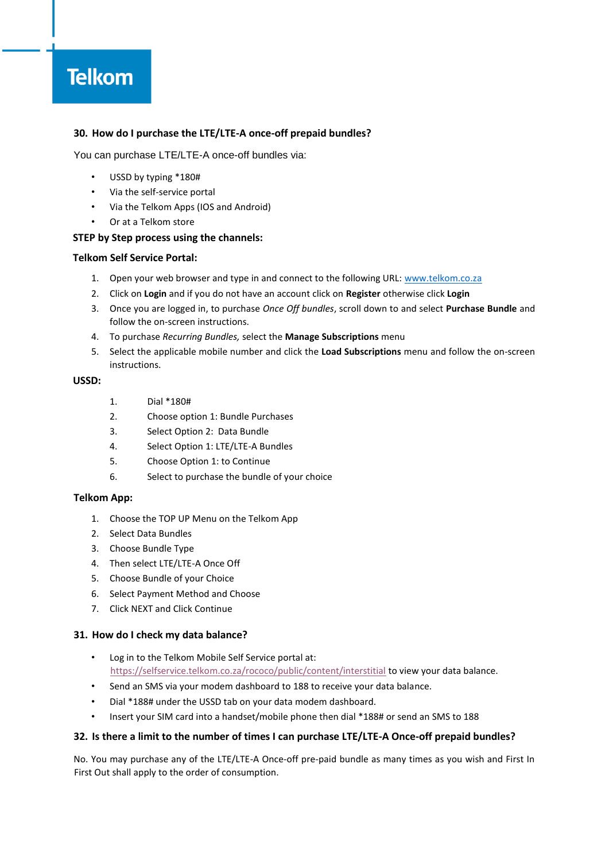# **Telkom**

# **30. How do I purchase the LTE/LTE-A once-off prepaid bundles?**

You can purchase LTE/LTE-A once-off bundles via:

- USSD by typing \*180#
- Via the self-service portal
- Via the Telkom Apps (IOS and Android)
- Or at a Telkom store

## **STEP by Step process using the channels:**

## **Telkom Self Service Portal:**

- 1. Open your web browser and type in and connect to the following URL: [www.telkom.co.za](http://www.telkom.co.za/)
- 2. Click on **Login** and if you do not have an account click on **Register** otherwise click **Login**
- 3. Once you are logged in, to purchase *Once Off bundles*, scroll down to and select **Purchase Bundle** and follow the on-screen instructions.
- 4. To purchase *Recurring Bundles,* select the **Manage Subscriptions** menu
- 5. Select the applicable mobile number and click the **Load Subscriptions** menu and follow the on-screen instructions.

# **USSD:**

- 1. Dial \*180#
- 2. Choose option 1: Bundle Purchases
- 3. Select Option 2: Data Bundle
- 4. Select Option 1: LTE/LTE-A Bundles
- 5. Choose Option 1: to Continue
- 6. Select to purchase the bundle of your choice

# **Telkom App:**

- 1. Choose the TOP UP Menu on the Telkom App
- 2. Select Data Bundles
- 3. Choose Bundle Type
- 4. Then select LTE/LTE-A Once Off
- 5. Choose Bundle of your Choice
- 6. Select Payment Method and Choose
- 7. Click NEXT and Click Continue

# **31. How do I check my data balance?**

- Log in to the Telkom Mobile Self Service portal at: <https://selfservice.telkom.co.za/rococo/public/content/interstitial> [to](https://selfservice.telkom.co.za/rococo/public/content/interstitial) view your data balance.
- Send an SMS via your modem dashboard to 188 to receive your data balance.
- Dial \*188# under the USSD tab on your data modem dashboard.
- Insert your SIM card into a handset/mobile phone then dial \*188# or send an SMS to 188

# **32. Is there a limit to the number of times I can purchase LTE/LTE-A Once-off prepaid bundles?**

No. You may purchase any of the LTE/LTE-A Once-off pre-paid bundle as many times as you wish and First In First Out shall apply to the order of consumption.